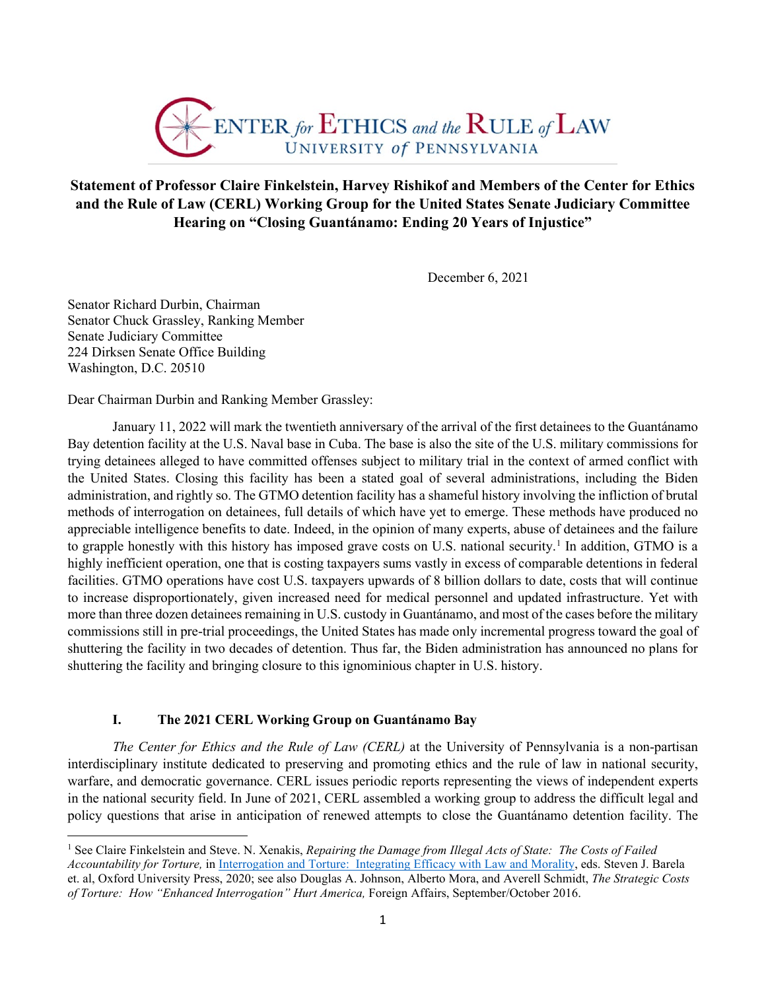

## **Statement of Professor Claire Finkelstein, Harvey Rishikof and Members of the Center for Ethics and the Rule of Law (CERL) Working Group for the United States Senate Judiciary Committee Hearing on "Closing Guantánamo: Ending 20 Years of Injustice"**

December 6, 2021

Senator Richard Durbin, Chairman Senator Chuck Grassley, Ranking Member Senate Judiciary Committee 224 Dirksen Senate Office Building Washington, D.C. 20510

Dear Chairman Durbin and Ranking Member Grassley:

January 11, 2022 will mark the twentieth anniversary of the arrival of the first detainees to the Guantánamo Bay detention facility at the U.S. Naval base in Cuba. The base is also the site of the U.S. military commissions for trying detainees alleged to have committed offenses subject to military trial in the context of armed conflict with the United States. Closing this facility has been a stated goal of several administrations, including the Biden administration, and rightly so. The GTMO detention facility has a shameful history involving the infliction of brutal methods of interrogation on detainees, full details of which have yet to emerge. These methods have produced no appreciable intelligence benefits to date. Indeed, in the opinion of many experts, abuse of detainees and the failure to grapple honestly with this history has imposed grave costs on U.S. national security.<sup>[1](#page-0-0)</sup> In addition, GTMO is a highly inefficient operation, one that is costing taxpayers sums vastly in excess of comparable detentions in federal facilities. GTMO operations have cost U.S. taxpayers upwards of 8 billion dollars to date, costs that will continue to increase disproportionately, given increased need for medical personnel and updated infrastructure. Yet with more than three dozen detainees remaining in U.S. custody in Guantánamo, and most of the cases before the military commissions still in pre-trial proceedings, the United States has made only incremental progress toward the goal of shuttering the facility in two decades of detention. Thus far, the Biden administration has announced no plans for shuttering the facility and bringing closure to this ignominious chapter in U.S. history.

## **I. The 2021 CERL Working Group on Guantánamo Bay**

*The Center for Ethics and the Rule of Law (CERL)* at the University of Pennsylvania is a non-partisan interdisciplinary institute dedicated to preserving and promoting ethics and the rule of law in national security, warfare, and democratic governance. CERL issues periodic reports representing the views of independent experts in the national security field. In June of 2021, CERL assembled a working group to address the difficult legal and policy questions that arise in anticipation of renewed attempts to close the Guantánamo detention facility. The

<span id="page-0-0"></span><sup>&</sup>lt;sup>1</sup> See Claire Finkelstein and Steve. N. Xenakis, *Repairing the Damage from Illegal Acts of State: The Costs of Failed Accountability for Torture,* in [Interrogation and Torture: Integrating Efficacy with Law and Morality,](https://www.google.com/books/edition/Interrogation_and_Torture/TtnBDwAAQBAJ?hl=en&gbpv=1&dq=Claire+Finkelstein+and+Steve+Xenakis&pg=PA493&printsec=frontcover) eds. Steven J. Barela et. al, Oxford University Press, 2020; see also Douglas A. Johnson, Alberto Mora, and Averell Schmidt, *The Strategic Costs of Torture: How "Enhanced Interrogation" Hurt America,* Foreign Affairs, September/October 2016.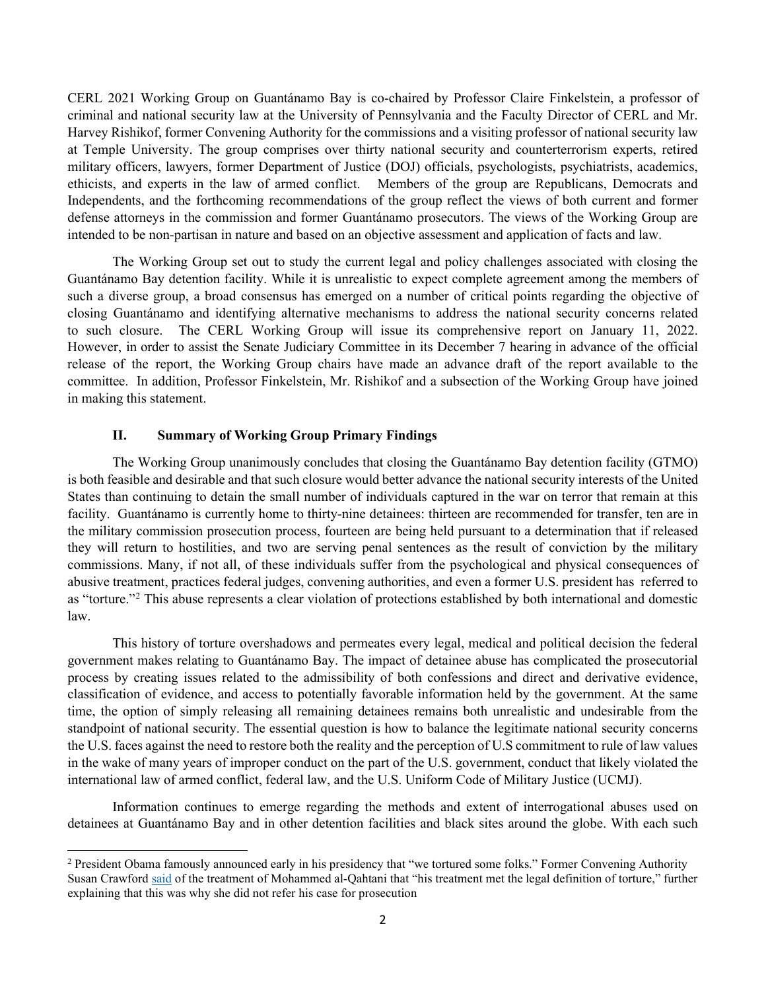CERL 2021 Working Group on Guantánamo Bay is co-chaired by Professor Claire Finkelstein, a professor of criminal and national security law at the University of Pennsylvania and the Faculty Director of CERL and Mr. Harvey Rishikof, former Convening Authority for the commissions and a visiting professor of national security law at Temple University. The group comprises over thirty national security and counterterrorism experts, retired military officers, lawyers, former Department of Justice (DOJ) officials, psychologists, psychiatrists, academics, ethicists, and experts in the law of armed conflict. Members of the group are Republicans, Democrats and Independents, and the forthcoming recommendations of the group reflect the views of both current and former defense attorneys in the commission and former Guantánamo prosecutors. The views of the Working Group are intended to be non-partisan in nature and based on an objective assessment and application of facts and law.

The Working Group set out to study the current legal and policy challenges associated with closing the Guantánamo Bay detention facility. While it is unrealistic to expect complete agreement among the members of such a diverse group, a broad consensus has emerged on a number of critical points regarding the objective of closing Guantánamo and identifying alternative mechanisms to address the national security concerns related to such closure. The CERL Working Group will issue its comprehensive report on January 11, 2022. However, in order to assist the Senate Judiciary Committee in its December 7 hearing in advance of the official release of the report, the Working Group chairs have made an advance draft of the report available to the committee. In addition, Professor Finkelstein, Mr. Rishikof and a subsection of the Working Group have joined in making this statement.

## **II. Summary of Working Group Primary Findings**

The Working Group unanimously concludes that closing the Guantánamo Bay detention facility (GTMO) is both feasible and desirable and that such closure would better advance the national security interests of the United States than continuing to detain the small number of individuals captured in the war on terror that remain at this facility. Guantánamo is currently home to thirty-nine detainees: thirteen are recommended for transfer, ten are in the military commission prosecution process, fourteen are being held pursuant to a determination that if released they will return to hostilities, and two are serving penal sentences as the result of conviction by the military commissions. Many, if not all, of these individuals suffer from the psychological and physical consequences of abusive treatment, practices federal judges, convening authorities, and even a former U.S. president has referred to as "torture."[2](#page-1-0) This abuse represents a clear violation of protections established by both international and domestic law.

This history of torture overshadows and permeates every legal, medical and political decision the federal government makes relating to Guantánamo Bay. The impact of detainee abuse has complicated the prosecutorial process by creating issues related to the admissibility of both confessions and direct and derivative evidence, classification of evidence, and access to potentially favorable information held by the government. At the same time, the option of simply releasing all remaining detainees remains both unrealistic and undesirable from the standpoint of national security. The essential question is how to balance the legitimate national security concerns the U.S. faces against the need to restore both the reality and the perception of U.S commitment to rule of law values in the wake of many years of improper conduct on the part of the U.S. government, conduct that likely violated the international law of armed conflict, federal law, and the U.S. Uniform Code of Military Justice (UCMJ).

Information continues to emerge regarding the methods and extent of interrogational abuses used on detainees at Guantánamo Bay and in other detention facilities and black sites around the globe. With each such

<span id="page-1-0"></span><sup>&</sup>lt;sup>2</sup> President Obama famously announced early in his presidency that "we tortured some folks." Former Convening Authority Susan Crawford said of the treatment of Mohammed al-Qahtani that "his treatment met the legal definition of torture," further explaining that this was why she did not refer his case for prosecution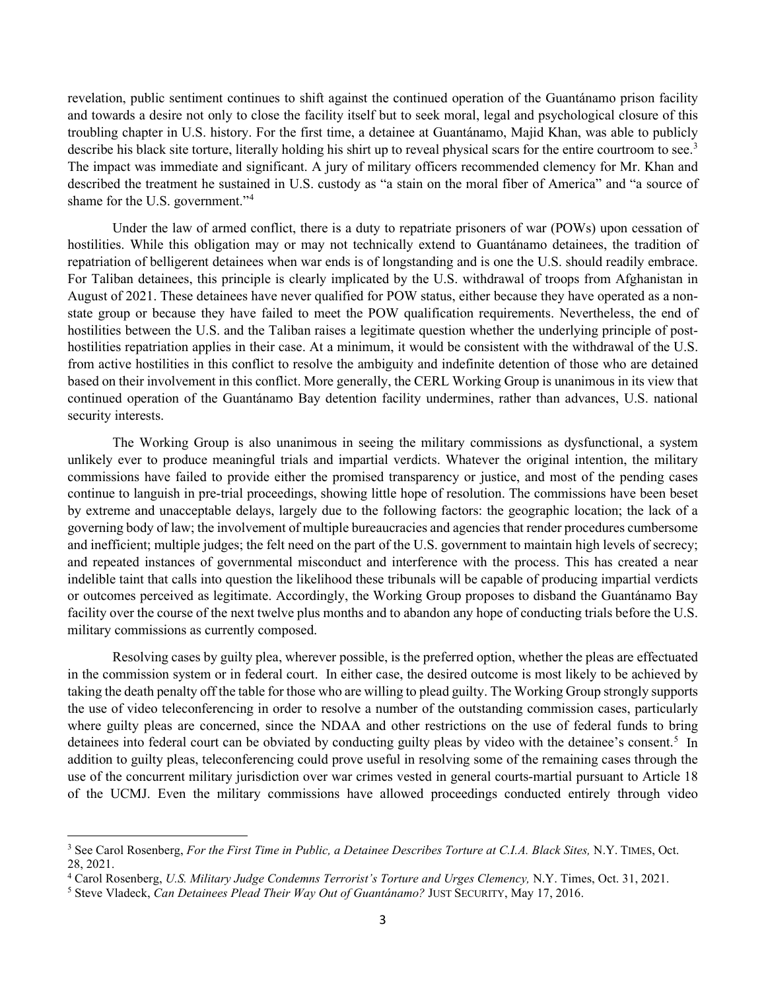revelation, public sentiment continues to shift against the continued operation of the Guantánamo prison facility and towards a desire not only to close the facility itself but to seek moral, legal and psychological closure of this troubling chapter in U.S. history. For the first time, a detainee at Guantánamo, Majid Khan, was able to publicly describe his black site torture, literally holding his shirt up to reveal physical scars for the entire courtroom to see.<sup>[3](#page-2-0)</sup> The impact was immediate and significant. A jury of military officers recommended clemency for Mr. Khan and described the treatment he sustained in U.S. custody as "a stain on the moral fiber of America" and "a source of shame for the U.S. government."[4](#page-2-1)

Under the law of armed conflict, there is a duty to repatriate prisoners of war (POWs) upon cessation of hostilities. While this obligation may or may not technically extend to Guantánamo detainees, the tradition of repatriation of belligerent detainees when war ends is of longstanding and is one the U.S. should readily embrace. For Taliban detainees, this principle is clearly implicated by the U.S. withdrawal of troops from Afghanistan in August of 2021. These detainees have never qualified for POW status, either because they have operated as a nonstate group or because they have failed to meet the POW qualification requirements. Nevertheless, the end of hostilities between the U.S. and the Taliban raises a legitimate question whether the underlying principle of posthostilities repatriation applies in their case. At a minimum, it would be consistent with the withdrawal of the U.S. from active hostilities in this conflict to resolve the ambiguity and indefinite detention of those who are detained based on their involvement in this conflict. More generally, the CERL Working Group is unanimous in its view that continued operation of the Guantánamo Bay detention facility undermines, rather than advances, U.S. national security interests.

The Working Group is also unanimous in seeing the military commissions as dysfunctional, a system unlikely ever to produce meaningful trials and impartial verdicts. Whatever the original intention, the military commissions have failed to provide either the promised transparency or justice, and most of the pending cases continue to languish in pre-trial proceedings, showing little hope of resolution. The commissions have been beset by extreme and unacceptable delays, largely due to the following factors: the geographic location; the lack of a governing body of law; the involvement of multiple bureaucracies and agencies that render procedures cumbersome and inefficient; multiple judges; the felt need on the part of the U.S. government to maintain high levels of secrecy; and repeated instances of governmental misconduct and interference with the process. This has created a near indelible taint that calls into question the likelihood these tribunals will be capable of producing impartial verdicts or outcomes perceived as legitimate. Accordingly, the Working Group proposes to disband the Guantánamo Bay facility over the course of the next twelve plus months and to abandon any hope of conducting trials before the U.S. military commissions as currently composed.

Resolving cases by guilty plea, wherever possible, is the preferred option, whether the pleas are effectuated in the commission system or in federal court. In either case, the desired outcome is most likely to be achieved by taking the death penalty off the table for those who are willing to plead guilty. The Working Group strongly supports the use of video teleconferencing in order to resolve a number of the outstanding commission cases, particularly where guilty pleas are concerned, since the NDAA and other restrictions on the use of federal funds to bring detainees into federal court can be obviated by conducting guilty pleas by video with the detainee's consent.<sup>[5](#page-2-2)</sup> In addition to guilty pleas, teleconferencing could prove useful in resolving some of the remaining cases through the use of the concurrent military jurisdiction over war crimes vested in general courts-martial pursuant to Article 18 of the UCMJ. Even the military commissions have allowed proceedings conducted entirely through video

<span id="page-2-0"></span><sup>&</sup>lt;sup>3</sup> See Carol Rosenberg, *For the First Time in Public, a Detainee Describes Torture at C.I.A. Black Sites, N.Y. TIMES, Oct.* 28, 2021.

<span id="page-2-1"></span><sup>4</sup> Carol Rosenberg, *U.S. Military Judge Condemns Terrorist's Torture and Urges Clemency,* N.Y. Times, Oct. 31, 2021.

<span id="page-2-2"></span><sup>5</sup> Steve Vladeck, *Can Detainees Plead Their Way Out of Guantánamo?* JUST SECURITY, May 17, 2016.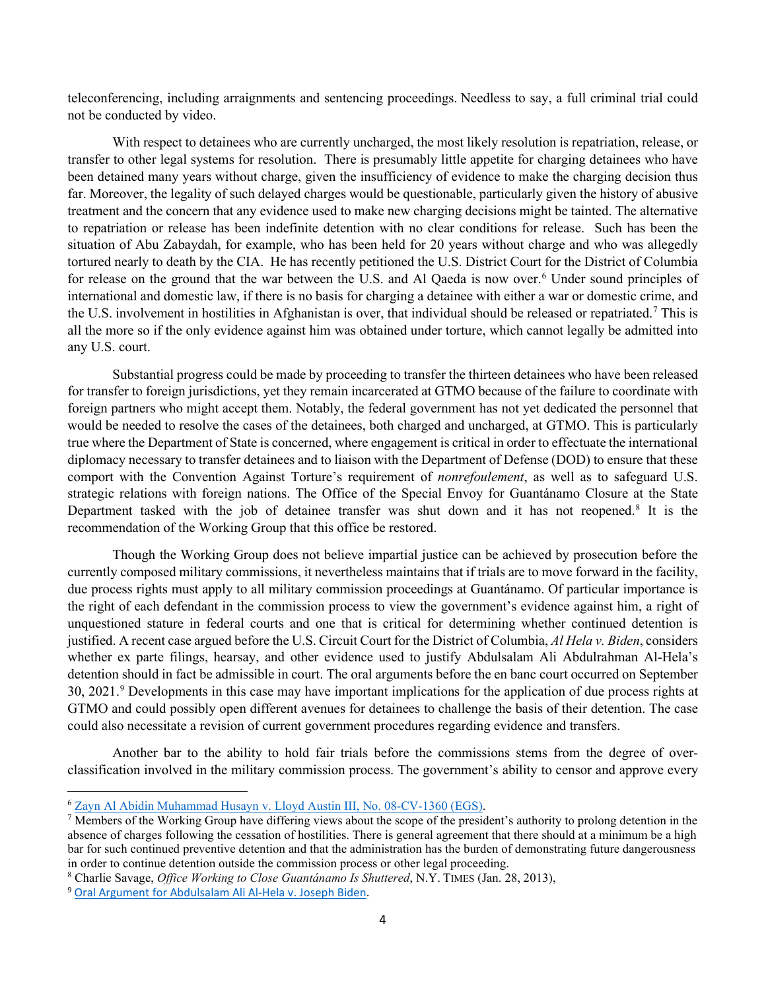teleconferencing, including arraignments and sentencing proceedings. Needless to say, a full criminal trial could not be conducted by video.

With respect to detainees who are currently uncharged, the most likely resolution is repatriation, release, or transfer to other legal systems for resolution. There is presumably little appetite for charging detainees who have been detained many years without charge, given the insufficiency of evidence to make the charging decision thus far. Moreover, the legality of such delayed charges would be questionable, particularly given the history of abusive treatment and the concern that any evidence used to make new charging decisions might be tainted. The alternative to repatriation or release has been indefinite detention with no clear conditions for release. Such has been the situation of Abu Zabaydah, for example, who has been held for 20 years without charge and who was allegedly tortured nearly to death by the CIA. He has recently petitioned the U.S. District Court for the District of Columbia for release on the ground that the war between the U.S. and Al Qaeda is now over.<sup>[6](#page-3-0)</sup> Under sound principles of international and domestic law, if there is no basis for charging a detainee with either a war or domestic crime, and the U.S. involvement in hostilities in Afghanistan is over, that individual should be released or repatriated.<sup>[7](#page-3-1)</sup> This is all the more so if the only evidence against him was obtained under torture, which cannot legally be admitted into any U.S. court.

Substantial progress could be made by proceeding to transfer the thirteen detainees who have been released for transfer to foreign jurisdictions, yet they remain incarcerated at GTMO because of the failure to coordinate with foreign partners who might accept them. Notably, the federal government has not yet dedicated the personnel that would be needed to resolve the cases of the detainees, both charged and uncharged, at GTMO. This is particularly true where the Department of State is concerned, where engagement is critical in order to effectuate the international diplomacy necessary to transfer detainees and to liaison with the Department of Defense (DOD) to ensure that these comport with the Convention Against Torture's requirement of *nonrefoulement*, as well as to safeguard U.S. strategic relations with foreign nations. The Office of the Special Envoy for Guantánamo Closure at the State Department tasked with the job of detainee transfer was shut down and it has not reopened.<sup>[8](#page-3-2)</sup> It is the recommendation of the Working Group that this office be restored.

Though the Working Group does not believe impartial justice can be achieved by prosecution before the currently composed military commissions, it nevertheless maintains that if trials are to move forward in the facility, due process rights must apply to all military commission proceedings at Guantánamo. Of particular importance is the right of each defendant in the commission process to view the government's evidence against him, a right of unquestioned stature in federal courts and one that is critical for determining whether continued detention is justified. A recent case argued before the U.S. Circuit Court for the District of Columbia, *Al Hela v. Biden*, considers whether ex parte filings, hearsay, and other evidence used to justify Abdulsalam Ali Abdulrahman Al-Hela's detention should in fact be admissible in court. The oral arguments before the en banc court occurred on September 30, 2021.<sup>[9](#page-3-3)</sup> Developments in this case may have important implications for the application of due process rights at GTMO and could possibly open different avenues for detainees to challenge the basis of their detention. The case could also necessitate a revision of current government procedures regarding evidence and transfers.

Another bar to the ability to hold fair trials before the commissions stems from the degree of overclassification involved in the military commission process. The government's ability to censor and approve every

<span id="page-3-0"></span><sup>6</sup> Zayn Al Abidin Muhammad Husayn [v. Lloyd Austin III, No. 08-CV-1360 \(EGS\).](https://www.documentcloud.org/documents/21119420-sur-sur-reply-end-of-war-abu-zubaydah-note-this-has-yoo-memo-with-lies-on-az)

<span id="page-3-1"></span> $<sup>7</sup>$  Members of the Working Group have differing views about the scope of the president's authority to prolong detention in the</sup> absence of charges following the cessation of hostilities. There is general agreement that there should at a minimum be a high bar for such continued preventive detention and that the administration has the burden of demonstrating future dangerousness in order to continue detention outside the commission process or other legal proceeding.

<span id="page-3-2"></span><sup>8</sup> Charlie Savage, *Office Working to Close Guantánamo Is Shuttered*, N.Y. TIMES (Jan. 28, 2013),

<span id="page-3-3"></span><sup>9</sup> [Oral Argument for Abdulsalam Ali Al-Hela v. Joseph Biden.](https://www.courtlistener.com/audio/77858/abdulsalam-ali-al-hela-v-joseph-biden/)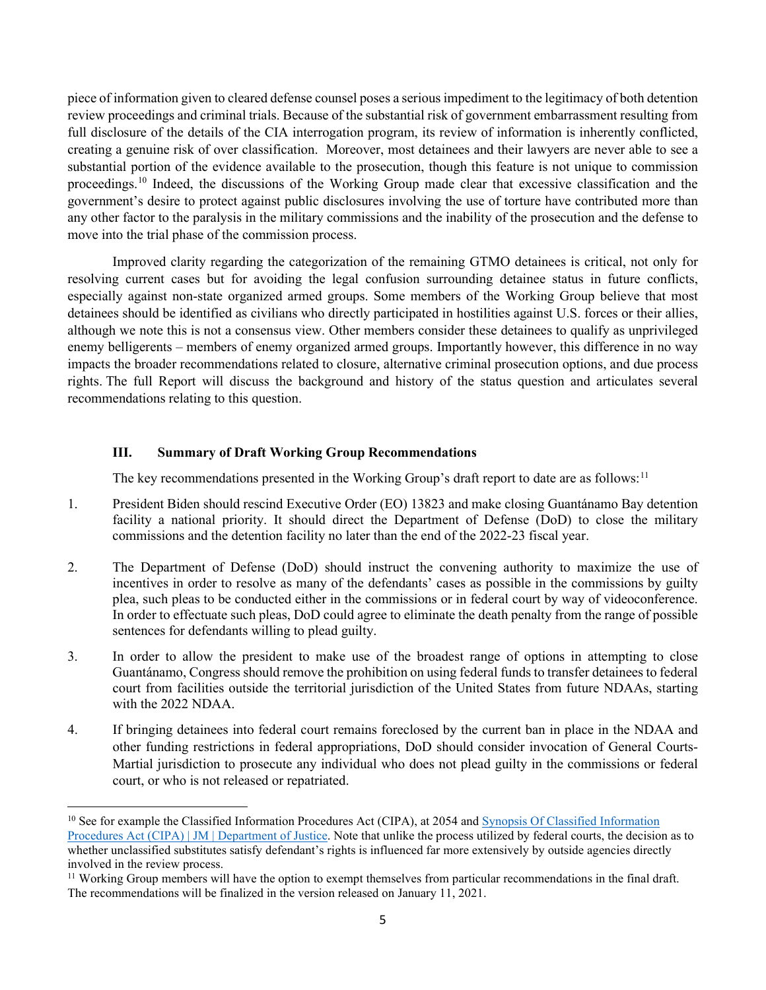piece of information given to cleared defense counsel poses a serious impediment to the legitimacy of both detention review proceedings and criminal trials. Because of the substantial risk of government embarrassment resulting from full disclosure of the details of the CIA interrogation program, its review of information is inherently conflicted, creating a genuine risk of over classification. Moreover, most detainees and their lawyers are never able to see a substantial portion of the evidence available to the prosecution, though this feature is not unique to commission proceedings.<sup>[10](#page-4-0)</sup> Indeed, the discussions of the Working Group made clear that excessive classification and the government's desire to protect against public disclosures involving the use of torture have contributed more than any other factor to the paralysis in the military commissions and the inability of the prosecution and the defense to move into the trial phase of the commission process.

Improved clarity regarding the categorization of the remaining GTMO detainees is critical, not only for resolving current cases but for avoiding the legal confusion surrounding detainee status in future conflicts, especially against non-state organized armed groups. Some members of the Working Group believe that most detainees should be identified as civilians who directly participated in hostilities against U.S. forces or their allies, although we note this is not a consensus view. Other members consider these detainees to qualify as unprivileged enemy belligerents – members of enemy organized armed groups. Importantly however, this difference in no way impacts the broader recommendations related to closure, alternative criminal prosecution options, and due process rights. The full Report will discuss the background and history of the status question and articulates several recommendations relating to this question.

## **III. Summary of Draft Working Group Recommendations**

The key recommendations presented in the Working Group's draft report to date are as follows:<sup>[11](#page-4-1)</sup>

- 1. President Biden should rescind Executive Order (EO) 13823 and make closing Guantánamo Bay detention facility a national priority. It should direct the Department of Defense (DoD) to close the military commissions and the detention facility no later than the end of the 2022-23 fiscal year.
- 2. The Department of Defense (DoD) should instruct the convening authority to maximize the use of incentives in order to resolve as many of the defendants' cases as possible in the commissions by guilty plea, such pleas to be conducted either in the commissions or in federal court by way of videoconference. In order to effectuate such pleas, DoD could agree to eliminate the death penalty from the range of possible sentences for defendants willing to plead guilty.
- 3. In order to allow the president to make use of the broadest range of options in attempting to close Guantánamo, Congress should remove the prohibition on using federal funds to transfer detainees to federal court from facilities outside the territorial jurisdiction of the United States from future NDAAs, starting with the 2022 NDAA.
- 4. If bringing detainees into federal court remains foreclosed by the current ban in place in the NDAA and other funding restrictions in federal appropriations, DoD should consider invocation of General Courts-Martial jurisdiction to prosecute any individual who does not plead guilty in the commissions or federal court, or who is not released or repatriated.

<span id="page-4-0"></span><sup>&</sup>lt;sup>10</sup> See for example the Classified Information Procedures Act (CIPA), at 2054 and Synopsis Of Classified Information [Procedures Act \(CIPA\) | JM | Department of Justice.](https://www.justice.gov/archives/jm/criminal-resource-manual-2054-synopsis-classified-information-procedures-act-cipa) Note that unlike the process utilized by federal courts, the decision as to whether unclassified substitutes satisfy defendant's rights is influenced far more extensively by outside agencies directly involved in the review process.

<span id="page-4-1"></span><sup>&</sup>lt;sup>11</sup> Working Group members will have the option to exempt themselves from particular recommendations in the final draft. The recommendations will be finalized in the version released on January 11, 2021.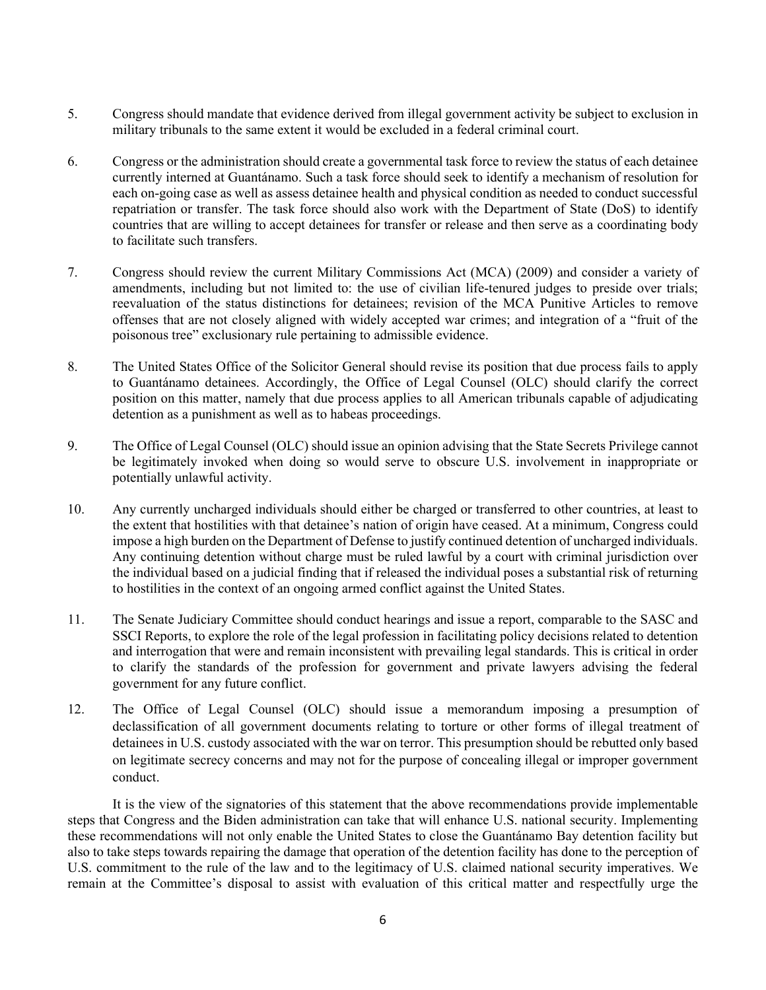- 5. Congress should mandate that evidence derived from illegal government activity be subject to exclusion in military tribunals to the same extent it would be excluded in a federal criminal court.
- 6. Congress or the administration should create a governmental task force to review the status of each detainee currently interned at Guantánamo. Such a task force should seek to identify a mechanism of resolution for each on-going case as well as assess detainee health and physical condition as needed to conduct successful repatriation or transfer. The task force should also work with the Department of State (DoS) to identify countries that are willing to accept detainees for transfer or release and then serve as a coordinating body to facilitate such transfers.
- 7. Congress should review the current Military Commissions Act (MCA) (2009) and consider a variety of amendments, including but not limited to: the use of civilian life-tenured judges to preside over trials; reevaluation of the status distinctions for detainees; revision of the MCA Punitive Articles to remove offenses that are not closely aligned with widely accepted war crimes; and integration of a "fruit of the poisonous tree" exclusionary rule pertaining to admissible evidence.
- 8. The United States Office of the Solicitor General should revise its position that due process fails to apply to Guantánamo detainees. Accordingly, the Office of Legal Counsel (OLC) should clarify the correct position on this matter, namely that due process applies to all American tribunals capable of adjudicating detention as a punishment as well as to habeas proceedings.
- 9. The Office of Legal Counsel (OLC) should issue an opinion advising that the State Secrets Privilege cannot be legitimately invoked when doing so would serve to obscure U.S. involvement in inappropriate or potentially unlawful activity.
- 10. Any currently uncharged individuals should either be charged or transferred to other countries, at least to the extent that hostilities with that detainee's nation of origin have ceased. At a minimum, Congress could impose a high burden on the Department of Defense to justify continued detention of uncharged individuals. Any continuing detention without charge must be ruled lawful by a court with criminal jurisdiction over the individual based on a judicial finding that if released the individual poses a substantial risk of returning to hostilities in the context of an ongoing armed conflict against the United States.
- 11. The Senate Judiciary Committee should conduct hearings and issue a report, comparable to the SASC and SSCI Reports, to explore the role of the legal profession in facilitating policy decisions related to detention and interrogation that were and remain inconsistent with prevailing legal standards. This is critical in order to clarify the standards of the profession for government and private lawyers advising the federal government for any future conflict.
- 12. The Office of Legal Counsel (OLC) should issue a memorandum imposing a presumption of declassification of all government documents relating to torture or other forms of illegal treatment of detainees in U.S. custody associated with the war on terror. This presumption should be rebutted only based on legitimate secrecy concerns and may not for the purpose of concealing illegal or improper government conduct.

It is the view of the signatories of this statement that the above recommendations provide implementable steps that Congress and the Biden administration can take that will enhance U.S. national security. Implementing these recommendations will not only enable the United States to close the Guantánamo Bay detention facility but also to take steps towards repairing the damage that operation of the detention facility has done to the perception of U.S. commitment to the rule of the law and to the legitimacy of U.S. claimed national security imperatives. We remain at the Committee's disposal to assist with evaluation of this critical matter and respectfully urge the